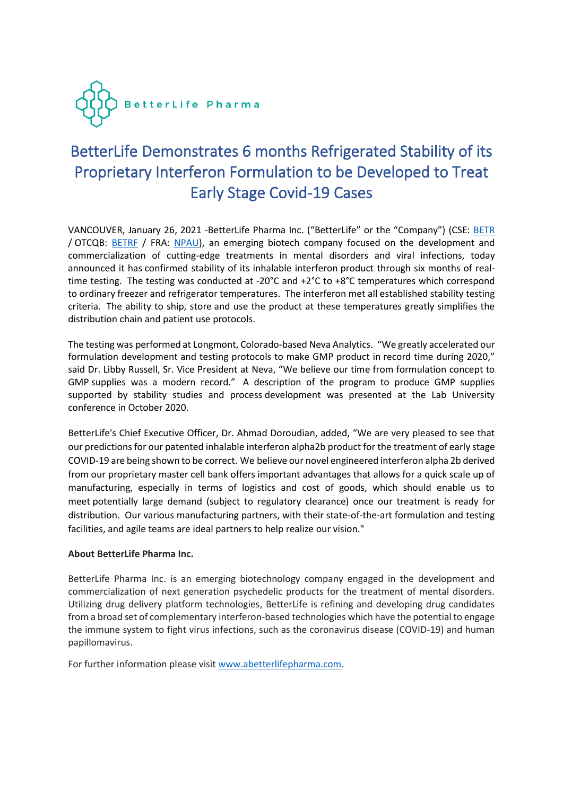

# BetterLife Demonstrates 6 months Refrigerated Stability of its Proprietary Interferon Formulation to be Developed to Treat Early Stage Covid-19 Cases

VANCOUVER, January 26, 2021 -BetterLife Pharma Inc. ("BetterLife" or the "Company") (CSE: [BETR](https://thecse.com/en/listings/life-sciences/betterlife-pharma-inc) / OTCQB: [BETRF](https://www.otcmarkets.com/stock/BETRF/overview) / FRA: [NPAU\)](https://www.tradegate.de/orderbuch.php?lang=en&isin=CA08772P2026), an emerging biotech company focused on the development and commercialization of cutting-edge treatments in mental disorders and viral infections, today announced it has confirmed stability of its inhalable interferon product through six months of realtime testing. The testing was conducted at -20°C and +2°C to +8°C temperatures which correspond to ordinary freezer and refrigerator temperatures. The interferon met all established stability testing criteria. The ability to ship, store and use the product at these temperatures greatly simplifies the distribution chain and patient use protocols.

The testing was performed at Longmont, Colorado-based Neva Analytics. "We greatly accelerated our formulation development and testing protocols to make GMP product in record time during 2020," said Dr. Libby Russell, Sr. Vice President at Neva, "We believe our time from formulation concept to GMP supplies was a modern record." A description of the program to produce GMP supplies supported by stability studies and process development was presented at the Lab University conference in October 2020.

BetterLife's Chief Executive Officer, Dr. Ahmad Doroudian, added, "We are very pleased to see that our predictions for our patented inhalable interferon alpha2b product for the treatment of early stage COVID-19 are being shown to be correct. We believe our novel engineered interferon alpha 2b derived from our proprietary master cell bank offers important advantages that allows for a quick scale up of manufacturing, especially in terms of logistics and cost of goods, which should enable us to meet potentially large demand (subject to regulatory clearance) once our treatment is ready for distribution. Our various manufacturing partners, with their state-of-the-art formulation and testing facilities, and agile teams are ideal partners to help realize our vision."

## **About BetterLife Pharma Inc.**

BetterLife Pharma Inc. is an emerging biotechnology company engaged in the development and commercialization of next generation psychedelic products for the treatment of mental disorders. Utilizing drug delivery platform technologies, BetterLife is refining and developing drug candidates from a broad set of complementary interferon-based technologies which have the potential to engage the immune system to fight virus infections, such as the coronavirus disease (COVID-19) and human papillomavirus.

For further information please visit [www.abetterlifepharma.com.](file:///C:/Users/andre/AppData/Local/Temp/www.abetterlifepharma.com)